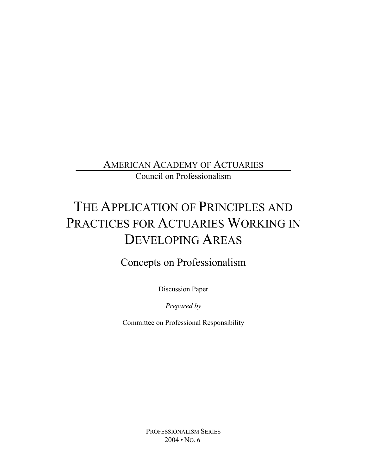AMERICAN ACADEMY OF ACTUARIES

Council on Professionalism

# THE APPLICATION OF PRINCIPLES AND PRACTICES FOR ACTUARIES WORKING IN DEVELOPING AREAS

# Concepts on Professionalism

Discussion Paper

*Prepared by*

Committee on Professional Responsibility

PROFESSIONALISM SERIES  $2004 \cdot$  No. 6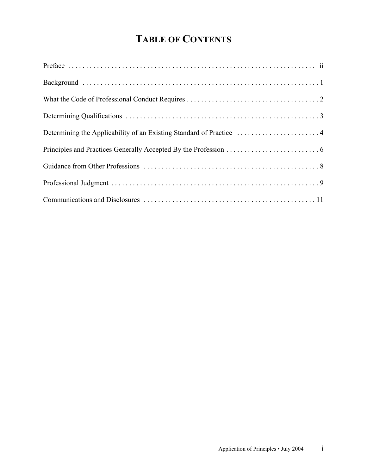# **TABLE OF CONTENTS**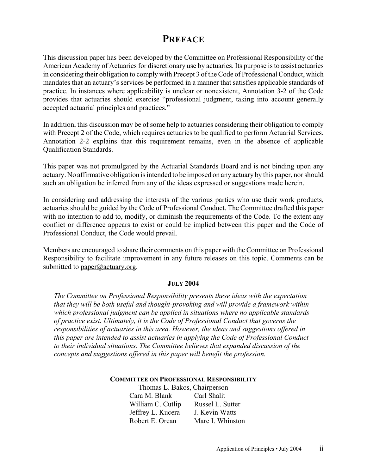#### **PREFACE**

This discussion paper has been developed by the Committee on Professional Responsibility of the American Academy of Actuaries for discretionary use by actuaries. Its purpose is to assist actuaries in considering their obligation to comply with Precept 3 of the Code of Professional Conduct, which mandates that an actuary's services be performed in a manner that satisfies applicable standards of practice. In instances where applicability is unclear or nonexistent, Annotation 3-2 of the Code provides that actuaries should exercise "professional judgment, taking into account generally accepted actuarial principles and practices."

In addition, this discussion may be of some help to actuaries considering their obligation to comply with Precept 2 of the Code, which requires actuaries to be qualified to perform Actuarial Services. Annotation 2-2 explains that this requirement remains, even in the absence of applicable Qualification Standards.

This paper was not promulgated by the Actuarial Standards Board and is not binding upon any actuary. No affirmative obligation is intended to be imposed on any actuary by this paper, nor should such an obligation be inferred from any of the ideas expressed or suggestions made herein.

In considering and addressing the interests of the various parties who use their work products, actuaries should be guided by the Code of Professional Conduct. The Committee drafted this paper with no intention to add to, modify, or diminish the requirements of the Code. To the extent any conflict or difference appears to exist or could be implied between this paper and the Code of Professional Conduct, the Code would prevail.

Members are encouraged to share their comments on this paper with the Committee on Professional Responsibility to facilitate improvement in any future releases on this topic. Comments can be submitted to  $paper@actuary.org$ .

#### **JULY 2004**

*The Committee on Professional Responsibility presents these ideas with the expectation that they will be both useful and thought-provoking and will provide a framework within which professional judgment can be applied in situations where no applicable standards of practice exist. Ultimately, it is the Code of Professional Conduct that governs the responsibilities of actuaries in this area. However, the ideas and suggestions offered in this paper are intended to assist actuaries in applying the Code of Professional Conduct to their individual situations. The Committee believes that expanded discussion of the concepts and suggestions offered in this paper will benefit the profession.*

**COMMITTEE ON PROFESSIONAL RESPONSIBILITY**

Thomas L. Bakos, Chairperson Cara M. Blank Carl Shalit William C. Cutlip Russel L. Sutter Jeffrey L. Kucera J. Kevin Watts Robert E. Orean Marc I. Whinston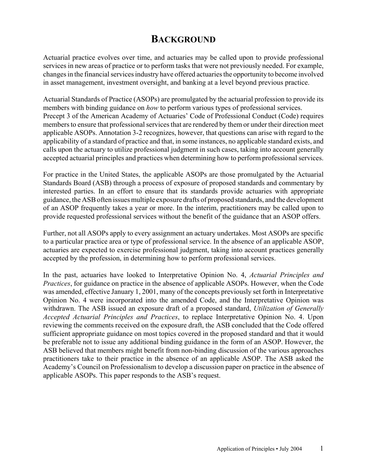#### **BACKGROUND**

Actuarial practice evolves over time, and actuaries may be called upon to provide professional services in new areas of practice or to perform tasks that were not previously needed. For example, changes in the financial services industry have offered actuaries the opportunity to become involved in asset management, investment oversight, and banking at a level beyond previous practice.

Actuarial Standards of Practice (ASOPs) are promulgated by the actuarial profession to provide its members with binding guidance on *how* to perform various types of professional services. Precept 3 of the American Academy of Actuaries' Code of Professional Conduct (Code) requires members to ensure that professional services that are rendered by them or under their direction meet applicable ASOPs. Annotation 3-2 recognizes, however, that questions can arise with regard to the applicability of a standard of practice and that, in some instances, no applicable standard exists, and calls upon the actuary to utilize professional judgment in such cases, taking into account generally accepted actuarial principles and practices when determining how to perform professional services.

For practice in the United States, the applicable ASOPs are those promulgated by the Actuarial Standards Board (ASB) through a process of exposure of proposed standards and commentary by interested parties. In an effort to ensure that its standards provide actuaries with appropriate guidance, the ASB often issues multiple exposure drafts of proposed standards, and the development of an ASOP frequently takes a year or more. In the interim, practitioners may be called upon to provide requested professional services without the benefit of the guidance that an ASOP offers.

Further, not all ASOPs apply to every assignment an actuary undertakes. Most ASOPs are specific to a particular practice area or type of professional service. In the absence of an applicable ASOP, actuaries are expected to exercise professional judgment, taking into account practices generally accepted by the profession, in determining how to perform professional services.

In the past, actuaries have looked to Interpretative Opinion No. 4, *Actuarial Principles and Practices*, for guidance on practice in the absence of applicable ASOPs. However, when the Code was amended, effective January 1, 2001, many of the concepts previously set forth in Interpretative Opinion No. 4 were incorporated into the amended Code, and the Interpretative Opinion was withdrawn. The ASB issued an exposure draft of a proposed standard, *Utilization of Generally Accepted Actuarial Principles and Practices*, to replace Interpretative Opinion No. 4. Upon reviewing the comments received on the exposure draft, the ASB concluded that the Code offered sufficient appropriate guidance on most topics covered in the proposed standard and that it would be preferable not to issue any additional binding guidance in the form of an ASOP. However, the ASB believed that members might benefit from non-binding discussion of the various approaches practitioners take to their practice in the absence of an applicable ASOP. The ASB asked the Academy's Council on Professionalism to develop a discussion paper on practice in the absence of applicable ASOPs. This paper responds to the ASB's request.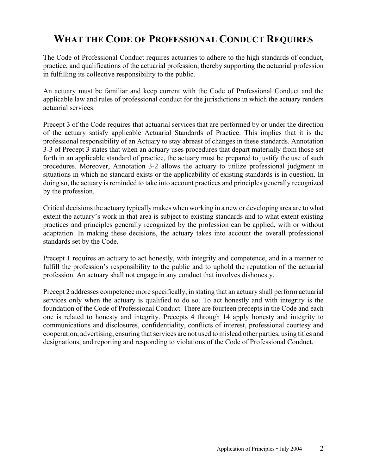### **WHAT THE CODE OF PROFESSIONAL CONDUCT REQUIRES**

The Code of Professional Conduct requires actuaries to adhere to the high standards of conduct, practice, and qualifications of the actuarial profession, thereby supporting the actuarial profession in fulfilling its collective responsibility to the public.

An actuary must be familiar and keep current with the Code of Professional Conduct and the applicable law and rules of professional conduct for the jurisdictions in which the actuary renders actuarial services.

Precept 3 of the Code requires that actuarial services that are performed by or under the direction of the actuary satisfy applicable Actuarial Standards of Practice. This implies that it is the professional responsibility of an Actuary to stay abreast of changes in these standards. Annotation 3-3 of Precept 3 states that when an actuary uses procedures that depart materially from those set forth in an applicable standard of practice, the actuary must be prepared to justify the use of such procedures. Moreover, Annotation 3-2 allows the actuary to utilize professional judgment in situations in which no standard exists or the applicability of existing standards is in question. In doing so, the actuary is reminded to take into account practices and principles generally recognized by the profession.

Critical decisions the actuary typically makes when working in a new or developing area are to what extent the actuary's work in that area is subject to existing standards and to what extent existing practices and principles generally recognized by the profession can be applied, with or without adaptation. In making these decisions, the actuary takes into account the overall professional standards set by the Code.

Precept 1 requires an actuary to act honestly, with integrity and competence, and in a manner to fulfill the profession's responsibility to the public and to uphold the reputation of the actuarial profession. An actuary shall not engage in any conduct that involves dishonesty.

Precept 2 addresses competence more specifically, in stating that an actuary shall perform actuarial services only when the actuary is qualified to do so. To act honestly and with integrity is the foundation of the Code of Professional Conduct. There are fourteen precepts in the Code and each one is related to honesty and integrity. Precepts 4 through 14 apply honesty and integrity to communications and disclosures, confidentiality, conflicts of interest, professional courtesy and cooperation, advertising, ensuring that services are not used to mislead other parties, using titles and designations, and reporting and responding to violations of the Code of Professional Conduct.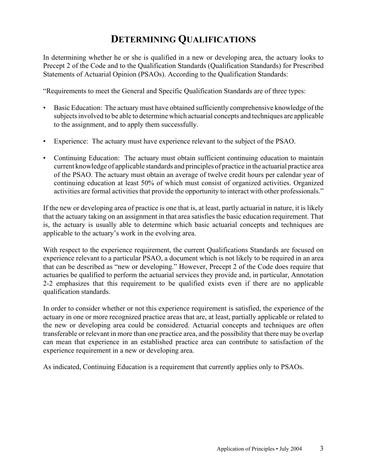### **DETERMINING QUALIFICATIONS**

In determining whether he or she is qualified in a new or developing area, the actuary looks to Precept 2 of the Code and to the Qualification Standards (Qualification Standards) for Prescribed Statements of Actuarial Opinion (PSAOs). According to the Qualification Standards:

"Requirements to meet the General and Specific Qualification Standards are of three types:

- Basic Education: The actuary must have obtained sufficiently comprehensive knowledge of the subjects involved to be able to determine which actuarial concepts and techniques are applicable to the assignment, and to apply them successfully.
- Experience: The actuary must have experience relevant to the subject of the PSAO.
- Continuing Education: The actuary must obtain sufficient continuing education to maintain current knowledge of applicable standards and principles of practice in the actuarial practice area of the PSAO. The actuary must obtain an average of twelve credit hours per calendar year of continuing education at least 50% of which must consist of organized activities. Organized activities are formal activities that provide the opportunity to interact with other professionals."

If the new or developing area of practice is one that is, at least, partly actuarial in nature, it is likely that the actuary taking on an assignment in that area satisfies the basic education requirement. That is, the actuary is usually able to determine which basic actuarial concepts and techniques are applicable to the actuary's work in the evolving area.

With respect to the experience requirement, the current Qualifications Standards are focused on experience relevant to a particular PSAO, a document which is not likely to be required in an area that can be described as "new or developing." However, Precept 2 of the Code does require that actuaries be qualified to perform the actuarial services they provide and, in particular, Annotation 2-2 emphasizes that this requirement to be qualified exists even if there are no applicable qualification standards.

In order to consider whether or not this experience requirement is satisfied, the experience of the actuary in one or more recognized practice areas that are, at least, partially applicable or related to the new or developing area could be considered. Actuarial concepts and techniques are often transferable or relevant in more than one practice area, and the possibility that there may be overlap can mean that experience in an established practice area can contribute to satisfaction of the experience requirement in a new or developing area.

As indicated, Continuing Education is a requirement that currently applies only to PSAOs.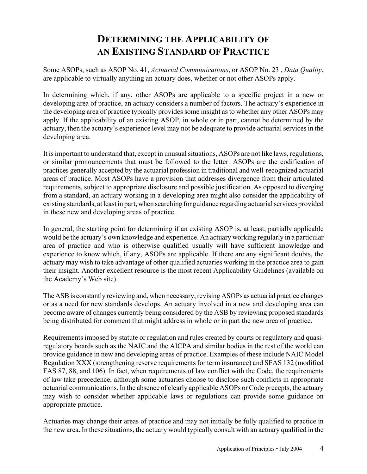# **DETERMINING THE APPLICABILITY OF AN EXISTING STANDARD OF PRACTICE**

Some ASOPs, such as ASOP No. 41, *Actuarial Communications*, or ASOP No. 23 , *Data Quality*, are applicable to virtually anything an actuary does, whether or not other ASOPs apply.

In determining which, if any, other ASOPs are applicable to a specific project in a new or developing area of practice, an actuary considers a number of factors. The actuary's experience in the developing area of practice typically provides some insight as to whether any other ASOPs may apply. If the applicability of an existing ASOP, in whole or in part, cannot be determined by the actuary, then the actuary's experience level may not be adequate to provide actuarial services in the developing area.

It is important to understand that, except in unusual situations, ASOPs are not like laws, regulations, or similar pronouncements that must be followed to the letter. ASOPs are the codification of practices generally accepted by the actuarial profession in traditional and well-recognized actuarial areas of practice. Most ASOPs have a provision that addresses divergence from their articulated requirements, subject to appropriate disclosure and possible justification. As opposed to diverging from a standard, an actuary working in a developing area might also consider the applicability of existing standards, at least in part, when searching for guidance regarding actuarial services provided in these new and developing areas of practice.

In general, the starting point for determining if an existing ASOP is, at least, partially applicable would be the actuary's own knowledge and experience. An actuary working regularly in a particular area of practice and who is otherwise qualified usually will have sufficient knowledge and experience to know which, if any, ASOPs are applicable. If there are any significant doubts, the actuary may wish to take advantage of other qualified actuaries working in the practice area to gain their insight. Another excellent resource is the most recent Applicability Guidelines (available on the Academy's Web site).

The ASB is constantly reviewing and, when necessary, revising ASOPs as actuarial practice changes or as a need for new standards develops. An actuary involved in a new and developing area can become aware of changes currently being considered by the ASB by reviewing proposed standards being distributed for comment that might address in whole or in part the new area of practice.

Requirements imposed by statute or regulation and rules created by courts or regulatory and quasiregulatory boards such as the NAIC and the AICPA and similar bodies in the rest of the world can provide guidance in new and developing areas of practice. Examples of these include NAIC Model Regulation XXX (strengthening reserve requirements for term insurance) and SFAS 132 (modified FAS 87, 88, and 106). In fact, when requirements of law conflict with the Code, the requirements of law take precedence, although some actuaries choose to disclose such conflicts in appropriate actuarial communications. In the absence of clearly applicable ASOPs or Code precepts, the actuary may wish to consider whether applicable laws or regulations can provide some guidance on appropriate practice.

Actuaries may change their areas of practice and may not initially be fully qualified to practice in the new area. In these situations, the actuary would typically consult with an actuary qualified in the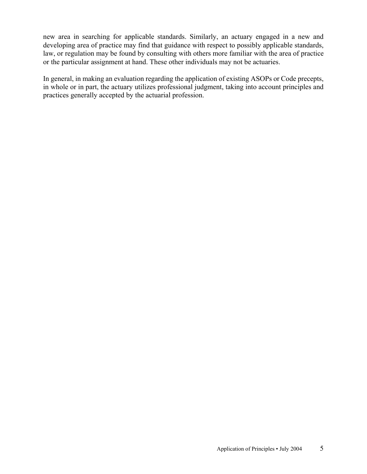new area in searching for applicable standards. Similarly, an actuary engaged in a new and developing area of practice may find that guidance with respect to possibly applicable standards, law, or regulation may be found by consulting with others more familiar with the area of practice or the particular assignment at hand. These other individuals may not be actuaries.

In general, in making an evaluation regarding the application of existing ASOPs or Code precepts, in whole or in part, the actuary utilizes professional judgment, taking into account principles and practices generally accepted by the actuarial profession.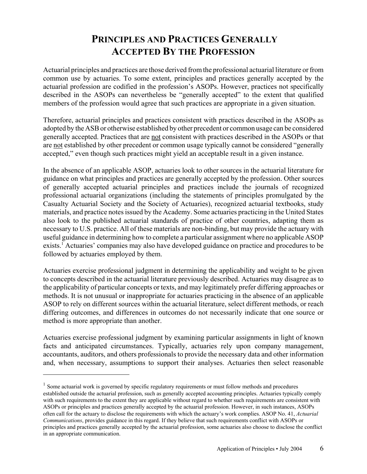# **PRINCIPLES AND PRACTICES GENERALLY ACCEPTED BY THE PROFESSION**

Actuarial principles and practices are those derived from the professional actuarial literature or from common use by actuaries. To some extent, principles and practices generally accepted by the actuarial profession are codified in the profession's ASOPs. However, practices not specifically described in the ASOPs can nevertheless be "generally accepted" to the extent that qualified members of the profession would agree that such practices are appropriate in a given situation.

Therefore, actuarial principles and practices consistent with practices described in the ASOPs as adopted by the ASB or otherwise established by other precedent or common usage can be considered generally accepted. Practices that are not consistent with practices described in the ASOPs or that are not established by other precedent or common usage typically cannot be considered "generally accepted," even though such practices might yield an acceptable result in a given instance.

In the absence of an applicable ASOP, actuaries look to other sources in the actuarial literature for guidance on what principles and practices are generally accepted by the profession. Other sources of generally accepted actuarial principles and practices include the journals of recognized professional actuarial organizations (including the statements of principles promulgated by the Casualty Actuarial Society and the Society of Actuaries), recognized actuarial textbooks, study materials, and practice notes issued by the Academy. Some actuaries practicing in the United States also look to the published actuarial standards of practice of other countries, adapting them as necessary to U.S. practice. All of these materials are non-binding, but may provide the actuary with useful guidance in determining how to complete a particular assignment where no applicable ASOP exists.<sup>1</sup> Actuaries' companies may also have developed guidance on practice and procedures to be followed by actuaries employed by them.

Actuaries exercise professional judgment in determining the applicability and weight to be given to concepts described in the actuarial literature previously described. Actuaries may disagree as to the applicability of particular concepts or texts, and may legitimately prefer differing approaches or methods. It is not unusual or inappropriate for actuaries practicing in the absence of an applicable ASOP to rely on different sources within the actuarial literature, select different methods, or reach differing outcomes, and differences in outcomes do not necessarily indicate that one source or method is more appropriate than another.

Actuaries exercise professional judgment by examining particular assignments in light of known facts and anticipated circumstances. Typically, actuaries rely upon company management, accountants, auditors, and others professionals to provide the necessary data and other information and, when necessary, assumptions to support their analyses. Actuaries then select reasonable

 $1$  Some actuarial work is governed by specific regulatory requirements or must follow methods and procedures established outside the actuarial profession, such as generally accepted accounting principles. Actuaries typically comply with such requirements to the extent they are applicable without regard to whether such requirements are consistent with ASOPs or principles and practices generally accepted by the actuarial profession. However, in such instances, ASOPs often call for the actuary to disclose the requirements with which the actuary's work complies. ASOP No. 41, *Actuarial Communications*, provides guidance in this regard. If they believe that such requirements conflict with ASOPs or principles and practices generally accepted by the actuarial profession, some actuaries also choose to disclose the conflict in an appropriate communication.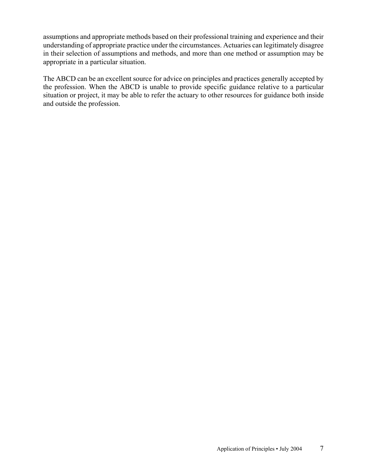assumptions and appropriate methods based on their professional training and experience and their understanding of appropriate practice under the circumstances. Actuaries can legitimately disagree in their selection of assumptions and methods, and more than one method or assumption may be appropriate in a particular situation.

The ABCD can be an excellent source for advice on principles and practices generally accepted by the profession. When the ABCD is unable to provide specific guidance relative to a particular situation or project, it may be able to refer the actuary to other resources for guidance both inside and outside the profession.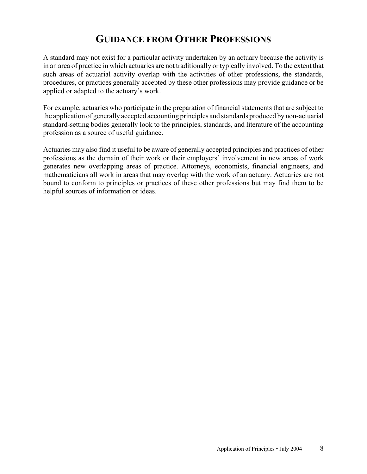#### **GUIDANCE FROM OTHER PROFESSIONS**

A standard may not exist for a particular activity undertaken by an actuary because the activity is in an area of practice in which actuaries are not traditionally or typically involved. To the extent that such areas of actuarial activity overlap with the activities of other professions, the standards, procedures, or practices generally accepted by these other professions may provide guidance or be applied or adapted to the actuary's work.

For example, actuaries who participate in the preparation of financial statements that are subject to the application of generally accepted accounting principles and standards produced by non-actuarial standard-setting bodies generally look to the principles, standards, and literature of the accounting profession as a source of useful guidance.

Actuaries may also find it useful to be aware of generally accepted principles and practices of other professions as the domain of their work or their employers' involvement in new areas of work generates new overlapping areas of practice. Attorneys, economists, financial engineers, and mathematicians all work in areas that may overlap with the work of an actuary. Actuaries are not bound to conform to principles or practices of these other professions but may find them to be helpful sources of information or ideas.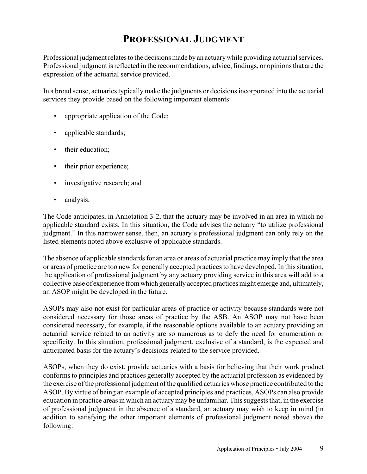### **PROFESSIONAL JUDGMENT**

Professional judgment relates to the decisions made by an actuary while providing actuarial services. Professional judgment is reflected in the recommendations, advice, findings, or opinions that are the expression of the actuarial service provided.

In a broad sense, actuaries typically make the judgments or decisions incorporated into the actuarial services they provide based on the following important elements:

- appropriate application of the Code;
- applicable standards;
- their education;
- their prior experience;
- investigative research; and
- analysis.

The Code anticipates, in Annotation 3-2, that the actuary may be involved in an area in which no applicable standard exists. In this situation, the Code advises the actuary "to utilize professional judgment." In this narrower sense, then, an actuary's professional judgment can only rely on the listed elements noted above exclusive of applicable standards.

The absence of applicable standards for an area or areas of actuarial practice may imply that the area or areas of practice are too new for generally accepted practices to have developed. In this situation, the application of professional judgment by any actuary providing service in this area will add to a collective base of experience from which generally accepted practices might emerge and, ultimately, an ASOP might be developed in the future.

ASOPs may also not exist for particular areas of practice or activity because standards were not considered necessary for those areas of practice by the ASB. An ASOP may not have been considered necessary, for example, if the reasonable options available to an actuary providing an actuarial service related to an activity are so numerous as to defy the need for enumeration or specificity. In this situation, professional judgment, exclusive of a standard, is the expected and anticipated basis for the actuary's decisions related to the service provided.

ASOPs, when they do exist, provide actuaries with a basis for believing that their work product conforms to principles and practices generally accepted by the actuarial profession as evidenced by the exercise of the professional judgment of the qualified actuaries whose practice contributed to the ASOP. By virtue of being an example of accepted principles and practices, ASOPs can also provide education in practice areas in which an actuary may be unfamiliar. This suggests that, in the exercise of professional judgment in the absence of a standard, an actuary may wish to keep in mind (in addition to satisfying the other important elements of professional judgment noted above) the following: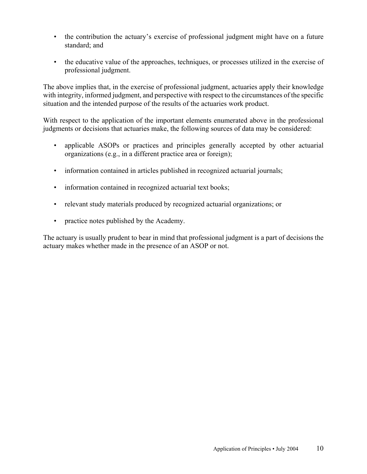- the contribution the actuary's exercise of professional judgment might have on a future standard; and
- the educative value of the approaches, techniques, or processes utilized in the exercise of professional judgment.

The above implies that, in the exercise of professional judgment, actuaries apply their knowledge with integrity, informed judgment, and perspective with respect to the circumstances of the specific situation and the intended purpose of the results of the actuaries work product.

With respect to the application of the important elements enumerated above in the professional judgments or decisions that actuaries make, the following sources of data may be considered:

- applicable ASOPs or practices and principles generally accepted by other actuarial organizations (e.g., in a different practice area or foreign);
- information contained in articles published in recognized actuarial journals;
- information contained in recognized actuarial text books;
- relevant study materials produced by recognized actuarial organizations; or
- practice notes published by the Academy.

The actuary is usually prudent to bear in mind that professional judgment is a part of decisions the actuary makes whether made in the presence of an ASOP or not.